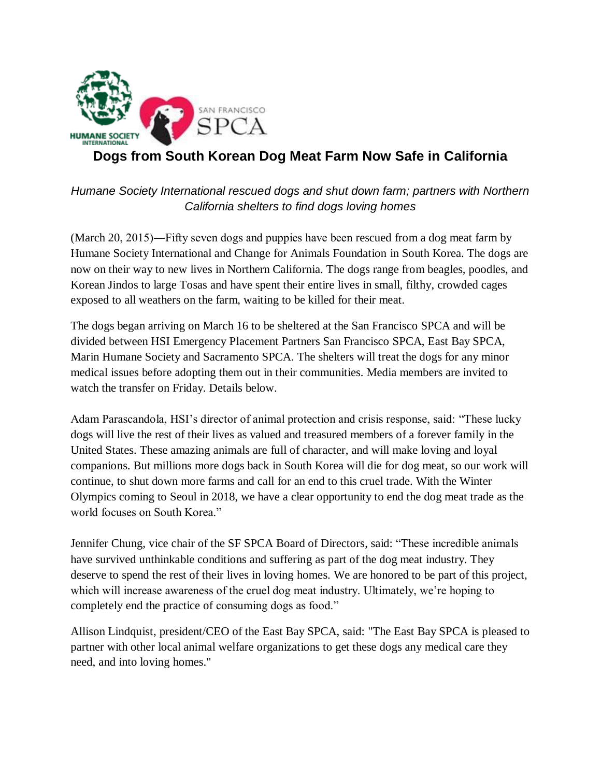

# **Dogs from South Korean Dog Meat Farm Now Safe in California**

*Humane Society International rescued dogs and shut down farm; partners with Northern California shelters to find dogs loving homes*

(March 20, 2015)―Fifty seven dogs and puppies have been rescued from a dog meat farm by Humane Society International and Change for Animals Foundation in South Korea. The dogs are now on their way to new lives in Northern California. The dogs range from beagles, poodles, and Korean Jindos to large Tosas and have spent their entire lives in small, filthy, crowded cages exposed to all weathers on the farm, waiting to be killed for their meat.

The dogs began arriving on March 16 to be sheltered at the San Francisco SPCA and will be divided between HSI Emergency Placement Partners San Francisco SPCA, East Bay SPCA, Marin Humane Society and Sacramento SPCA. The shelters will treat the dogs for any minor medical issues before adopting them out in their communities. Media members are invited to watch the transfer on Friday. Details below.

Adam Parascandola, HSI's director of animal protection and crisis response, said: "These lucky dogs will live the rest of their lives as valued and treasured members of a forever family in the United States. These amazing animals are full of character, and will make loving and loyal companions. But millions more dogs back in South Korea will die for dog meat, so our work will continue, to shut down more farms and call for an end to this cruel trade. With the Winter Olympics coming to Seoul in 2018, we have a clear opportunity to end the dog meat trade as the world focuses on South Korea."

Jennifer Chung, vice chair of the SF SPCA Board of Directors, said: "These incredible animals have survived unthinkable conditions and suffering as part of the dog meat industry. They deserve to spend the rest of their lives in loving homes. We are honored to be part of this project, which will increase awareness of the cruel dog meat industry. Ultimately, we're hoping to completely end the practice of consuming dogs as food."

Allison Lindquist, president/CEO of the East Bay SPCA, said: "The East Bay SPCA is pleased to partner with other local animal welfare organizations to get these dogs any medical care they need, and into loving homes."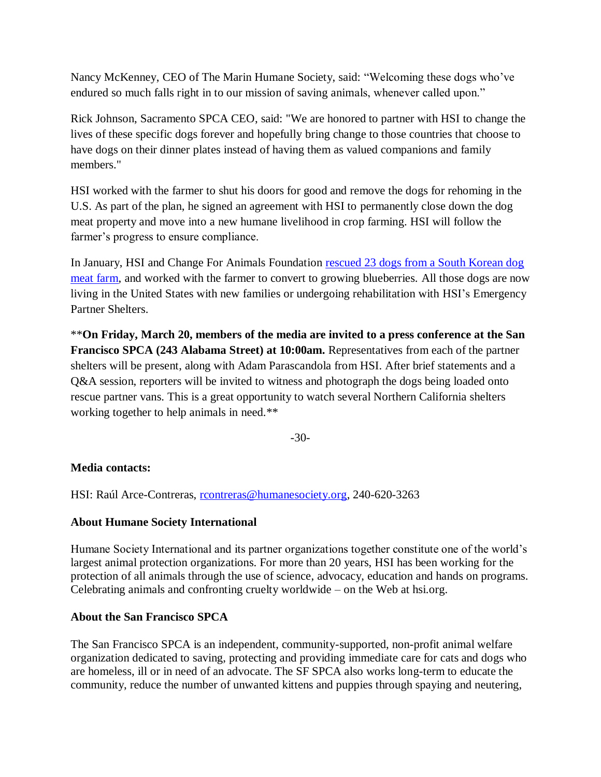Nancy McKenney, CEO of The Marin Humane Society, said: "Welcoming these dogs who've endured so much falls right in to our mission of saving animals, whenever called upon."

Rick Johnson, Sacramento SPCA CEO, said: "We are honored to partner with HSI to change the lives of these specific dogs forever and hopefully bring change to those countries that choose to have dogs on their dinner plates instead of having them as valued companions and family members."

HSI worked with the farmer to shut his doors for good and remove the dogs for rehoming in the U.S. As part of the plan, he signed an agreement with HSI to permanently close down the dog meat property and move into a new humane livelihood in crop farming. HSI will follow the farmer's progress to ensure compliance.

In January, HSI and Change For Animals Foundation [rescued 23 dogs from a South Korean dog](http://www.hsi.org/news/news/2015/1/south-korea-dog-meat-rescue-010515.html)  [meat farm,](http://www.hsi.org/news/news/2015/1/south-korea-dog-meat-rescue-010515.html) and worked with the farmer to convert to growing blueberries. All those dogs are now living in the United States with new families or undergoing rehabilitation with HSI's Emergency Partner Shelters.

\*\***On Friday, March 20, members of the media are invited to a press conference at the San Francisco SPCA (243 Alabama Street) at 10:00am.** Representatives from each of the partner shelters will be present, along with Adam Parascandola from HSI. After brief statements and a Q&A session, reporters will be invited to witness and photograph the dogs being loaded onto rescue partner vans. This is a great opportunity to watch several Northern California shelters working together to help animals in need.\*\*

-30-

## **Media contacts:**

HSI: Raúl Arce-Contreras, [rcontreras@humanesociety.org,](mailto:rcontreras@humanesociety.org) 240-620-3263

## **About Humane Society International**

Humane Society International and its partner organizations together constitute one of the world's largest animal protection organizations. For more than 20 years, HSI has been working for the protection of all animals through the use of science, advocacy, education and hands on programs. Celebrating animals and confronting cruelty worldwide – on the Web at hsi.org.

## **About the San Francisco SPCA**

The San Francisco SPCA is an independent, community-supported, non-profit animal welfare organization dedicated to saving, protecting and providing immediate care for cats and dogs who are homeless, ill or in need of an advocate. The SF SPCA also works long-term to educate the community, reduce the number of unwanted kittens and puppies through spaying and neutering,